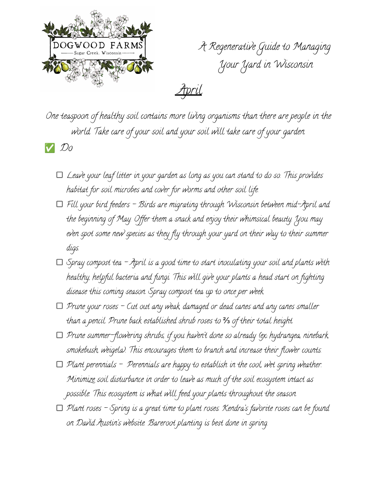

A Regenerative Guide to Managing Your Yard in Wisconsin

April

One teaspoon of healthy soil contains more living organisms than there are people in the world. Take care of your soil and your soil will take care of your garden.

✅ Do

- $\Box$  Leave your leaf litter in your garden as long as you can stand to do so. This provides habitat for soil microbes and cover for worms and other soil life.
- $\Box$  Fill your bird feeders Birds are migrating through Wisconsin between mid-April and the beginning of May. Offer them a snack and enjoy their whimsical beauty. You may even spot some new species as they fly through your yard on their way to their summer digs.
- $\Box$  Spray compost tea April is a good time to start inoculating your soil and plants with healthy, helpful bacteria and fungi. This will give your plants a head start on fighting disease this coming season. Spray compost tea up to once per week.
- $\Box$  Prune your roses Cut out any weak, damaged or dead canes and any canes smaller than a pencil. Prune back established shrub roses to ⅔ of their total height.
- $\Box$  Prune summer-flowering shrubs, if you haven't done so already (ex: hydrangea, ninebark, smokebush, weigela). This encourages them to branch and increase their flower counts.
- $\Box$  Plant perennials Perennials are happy to establish in the cool, wet spring weather. Minimize soil disturbance in order to leave as much of the soil ecosystem intact as possible. This ecosystem is what will feed your plants throughout the season.
- $\Box$  Plant roses Spring is a great time to plant roses. Kendra's favorite roses can be found on David Austin's website. Bareroot planting is best done in spring.